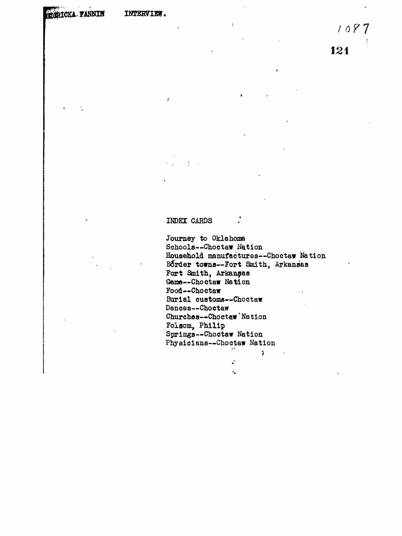**EDERICKA- FANNIN INTERVIEW.** 

ř

**7 121**

# **INDEX CARDS**

 $\mathbb{R}^2$ 

**Journey to Oklahoma Schools-~Choctaw Nation Household manufactures—Choctaw Nation Border towns—Fort Smith, Arkansas Fort Smith, Arkansas Gene—Choctaw Nation Food—Choctaw >** Burial customs--Choctaw **Dances—Choctaw Churches—-Choc taw' Nation Foisom, Philip Springs—Choctaw Nation Physicians—Chootaw Nation**

> $\mathbf{r}^{\prime}$ Ň,

 $\sum$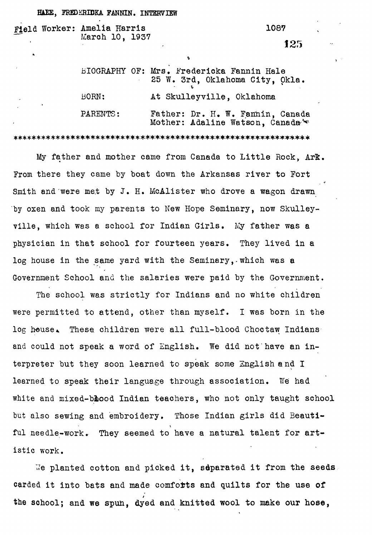#### **HAEE, FREDERIDKA FANNIN. INTERVIEW**

## field Worker: Amelia Harris 1087 March 10, 1937

## 125

|          | BIOGRAPHY OF: Mrs. Fredericka Fannin Hale<br>25 W. 3rd, Oklahoma City, Okla.      |
|----------|-----------------------------------------------------------------------------------|
| BORN:    | At Skulleyville, Oklahoma                                                         |
| PARENTS: | Father: Dr. H. W. Fannin, Canada<br>Mother: Adaline Watson, Canada <sup>346</sup> |

Mother: Adaline Watson, Canada?-^

My father and mother came from Canada to Little Rock, ArB:. From there they came by boat down the Arkansas river to Fort Smith and were met by J. H. McAlister who drove a wagon drawn by oxen and took my parents to New Hope Seminary, now Skulleyville, which was a school for Indian Girls. My father was a physician in that school for fourteen years. They lived in a log house in the same yard with the Seminary,-which was a Government School and the salaries were paid by the Government.

The school was strictly for Indians and no white children were permitted to attend, other than myself. I was born in the log house. These children were all full-blood Choctaw Indians and could not speak a word of English. We did not have an interpreter but they soon learned to speak some English and I learned to speak their language through association. We had white and mixed-blood Indian teachers, who not only taught school but also sewing and embroidery. Those Indian girls did Beautiful needle-work. They seemed to have a natural talent for artistic work.

We planted cotton and picked it, separated it from the seeds. carded it into bats and made comforts and quilts for the use of the sohool; and we spun, dyed and knitted wool to make **our hose,**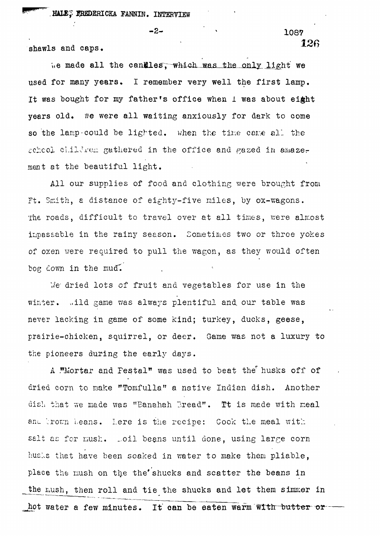shawls and caps,

 $-2 \frac{1087}{2}$ 126

We made all the candles, which was the only light we used for many years. I remember very well the first lamp. It was bought for my father's office when 1 was about eight years old. We were all waiting anxiously for dark to come so the lamp-could be lighted. When the time came all the scheol children gathered in the office and gazed in amazement at the beautiful light.

All our supplies of food and clothing were brought from Ft. Smith, a distance of eighty-five miles, by ox-wagons. The roads, difficult to travel over at all times, were almost impassable in the rainy season. Sometimes two or three yokes of oxen were required to pull the wagon, as they would often bog down in the mud.

We dried lots of fruit and vegetables for use in the winter. .ild game was always plentiful and our table was never lacking in game of some kind; turkey, ducks, geese, prairie-chicken, squirrel, or deer. Game was not a luxury to the pioneers during the early days.

A ."Mortar and Festal" was used to beat the husks off of dried corn to make "Tomfulla" a native Indian dish. Another dish that we made was "Eanahah Bread". Tt is made with meal and trown beans. Lere is the recipe: Cook the meal with salt as for mush. Loil beans until done, using large corn husls that have been soaked in water to make them pliable, place the mush on the the' shucks and scatter the beans in the mush, then roll and tie the shucks and let them simmer in hot water a few minutes. It can be eaten warm with butter or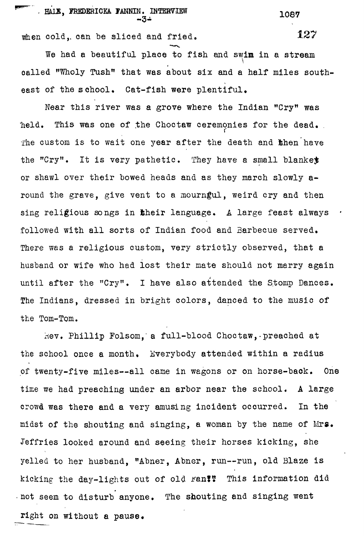when cold, can be sliced and fried.

We had a beautiful place to fish and swim in a stream called "Wholy Tush" that was about six and a half miles southeast of the school. Cat-fish were plentiful.

Near this river was a grove where the Indian "Cry" was  $\sim$ held. This was one of the Choctaw ceremonies for the dead. The custom is to wait one year after the death and then have the "Cry". It is very pathetic. They have a small blanket or shawl over their bowed heads and as they march slowly around the grave, give vent to a mourngul, weird cry and then sing religious songs in their language. A large feast always followed with all sorts of Indian food and Barbecue served. There was a religious custom, very strictly observed, that a husband or wife who had lost their mate should not marry again until after the "Cry". I have also attended the Stomp Dances. The Indians, dressed in bright colors, danced to the music of the Tom-Tom.

Hev. Phillip Folsom, a full-blood Choctaw, preached at the school once a month. Everybody attended within a radius of twenty-five miles—all came in wagons or on horse-baok. One time we had preaching under an arbor near the school. A large crowd was there and a very amusing incident occurred. In the midst of the shouting and singing, a woman by the name of Mrs. Jeffries looked around and seeing their horses kicking, she yelled to her husband, "Abner, Abner, run—run, old Blaze is kicking the day-lights out of old ran?? This information did not seem to disturb anyone. The shouting and singing went right on without a pause.

127